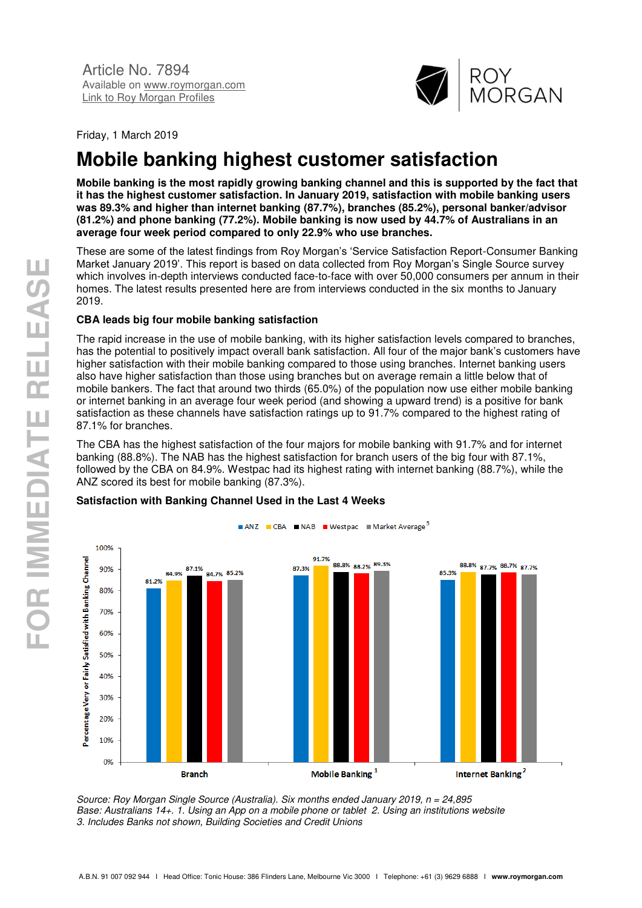

Friday, 1 March 2019

# **Mobile banking highest customer satisfaction**

**Mobile banking is the most rapidly growing banking channel and this is supported by the fact that it has the highest customer satisfaction. In January 2019, satisfaction with mobile banking users was 89.3% and higher than internet banking (87.7%), branches (85.2%), personal banker/advisor (81.2%) and phone banking (77.2%). Mobile banking is now used by 44.7% of Australians in an average four week period compared to only 22.9% who use branches.** 

These are some of the latest findings from Roy Morgan's 'Service Satisfaction Report-Consumer Banking Market January 2019'. This report is based on data collected from Roy Morgan's Single Source survey which involves in-depth interviews conducted face-to-face with over 50,000 consumers per annum in their homes. The latest results presented here are from interviews conducted in the six months to January 2019.

## **CBA leads big four mobile banking satisfaction**

The rapid increase in the use of mobile banking, with its higher satisfaction levels compared to branches, has the potential to positively impact overall bank satisfaction. All four of the major bank's customers have higher satisfaction with their mobile banking compared to those using branches. Internet banking users also have higher satisfaction than those using branches but on average remain a little below that of mobile bankers. The fact that around two thirds (65.0%) of the population now use either mobile banking or internet banking in an average four week period (and showing a upward trend) is a positive for bank satisfaction as these channels have satisfaction ratings up to 91.7% compared to the highest rating of 87.1% for branches.

The CBA has the highest satisfaction of the four majors for mobile banking with 91.7% and for internet banking (88.8%). The NAB has the highest satisfaction for branch users of the big four with 87.1%, followed by the CBA on 84.9%. Westpac had its highest rating with internet banking (88.7%), while the ANZ scored its best for mobile banking (87.3%).



### **Satisfaction with Banking Channel Used in the Last 4 Weeks**

*Source: Roy Morgan Single Source (Australia). Six months ended January 2019, n = 24,895 Base: Australians 14+. 1. Using an App on a mobile phone or tablet 2. Using an institutions website 3. Includes Banks not shown, Building Societies and Credit Unions*